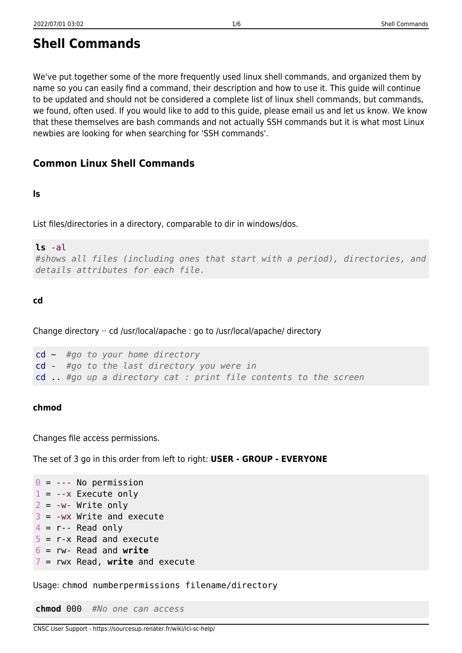We've put together some of the more frequently used linux shell commands, and organized them by name so you can easily find a command, their description and how to use it. This guide will continue to be updated and should not be considered a complete list of linux shell commands, but commands, we found, often used. If you would like to add to this guide, please email us and let us know. We know that these themselves are bash commands and not actually SSH commands but it is what most Linux newbies are looking for when searching for 'SSH commands'.

# **Common Linux Shell Commands**

# **ls**

List files/directories in a directory, comparable to dir in windows/dos.

# **ls** -al

```
#shows all files (including ones that start with a period), directories, and
details attributes for each file.
```
# **cd**

Change directory ·· cd /usr/local/apache : go to /usr/local/apache/ directory

```
cd ~ #go to your home directory
cd - #go to the last directory you were in
cd .. #go up a directory cat : print file contents to the screen
```
# **chmod**

Changes file access permissions.

The set of 3 go in this order from left to right: **USER - GROUP - EVERYONE**

```
0 = --- No permission
1 = -x Execute only
2 = -w - Write only
3 = -wx Write and execute
4 = r - Read only
5 = r - x Read and execute
6 = rw- Read and write
7 = rwx Read, write and execute
```
Usage: chmod numberpermissions filename/directory

**chmod** 000 *#No one can access*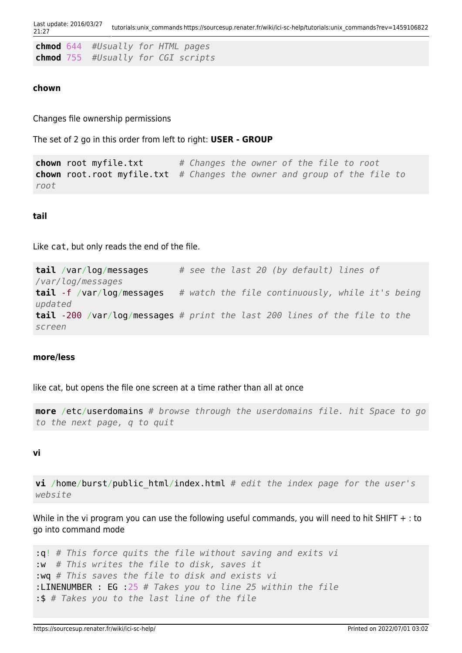Last update: 2016/03/27 21:27 tutorials:unix\_commands https://sourcesup.renater.fr/wiki/ici-sc-help/tutorials:unix\_commands?rev=1459106822

|  | <b>chmod</b> 644 #Usually for HTML pages |  |  |
|--|------------------------------------------|--|--|
|  | chmod 755 #Usually for CGI scripts       |  |  |

#### **chown**

Changes file ownership permissions

The set of 2 go in this order from left to right: **USER - GROUP**

**chown** root myfile.txt *# Changes the owner of the file to root* **chown** root.root myfile.txt *# Changes the owner and group of the file to root*

# **tail**

Like cat, but only reads the end of the file.

**tail** /var/log/messages *# see the last 20 (by default) lines of /var/log/messages* **tail** -f /var/log/messages *# watch the file continuously, while it's being updated* **tail** -200 /var/log/messages *# print the last 200 lines of the file to the screen*

### **more/less**

like cat, but opens the file one screen at a time rather than all at once

**more** /etc/userdomains *# browse through the userdomains file. hit Space to go to the next page, q to quit*

### **vi**

**vi** /home/burst/public\_html/index.html *# edit the index page for the user's website*

While in the vi program you can use the following useful commands, you will need to hit SHIFT + : to go into command mode

```
:q! # This force quits the file without saving and exits vi
:w # This writes the file to disk, saves it
:wq # This saves the file to disk and exists vi
:LINENUMBER : EG :25 # Takes you to line 25 within the file
:$ # Takes you to the last line of the file
```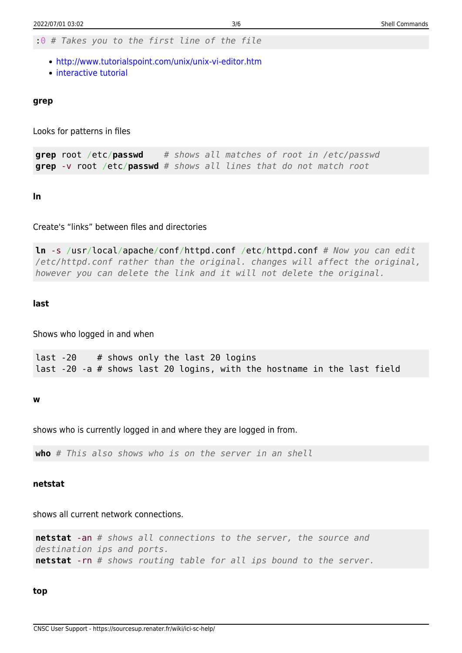:0 *# Takes you to the first line of the file*

- <http://www.tutorialspoint.com/unix/unix-vi-editor.htm>
- [interactive tutorial](http://www.openvim.com)

#### **grep**

Looks for patterns in files

**grep** root /etc/**passwd** *# shows all matches of root in /etc/passwd* **grep** -v root /etc/**passwd** *# shows all lines that do not match root*

**ln**

Create's "links" between files and directories

**ln** -s /usr/local/apache/conf/httpd.conf /etc/httpd.conf *# Now you can edit /etc/httpd.conf rather than the original. changes will affect the original, however you can delete the link and it will not delete the original.*

#### **last**

Shows who logged in and when

last -20 # shows only the last 20 logins last -20 -a # shows last 20 logins, with the hostname in the last field

**w**

shows who is currently logged in and where they are logged in from.

**who** *# This also shows who is on the server in an shell*

#### **netstat**

shows all current network connections.

**netstat** -an *# shows all connections to the server, the source and destination ips and ports.* **netstat** -rn *# shows routing table for all ips bound to the server.*

**top**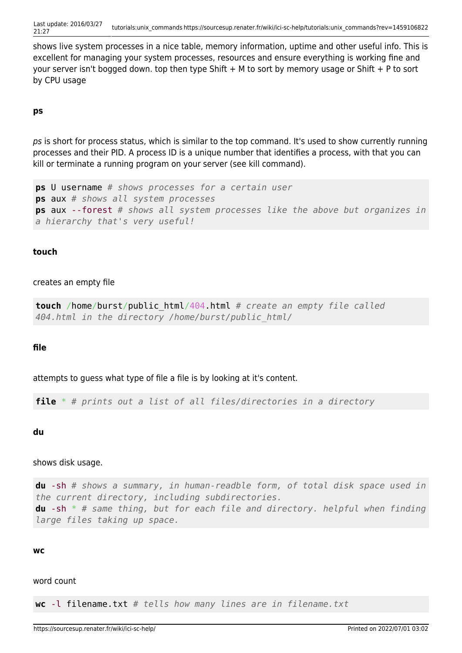shows live system processes in a nice table, memory information, uptime and other useful info. This is excellent for managing your system processes, resources and ensure everything is working fine and your server isn't bogged down. top then type Shift + M to sort by memory usage or Shift + P to sort by CPU usage

# **ps**

ps is short for process status, which is similar to the top command. It's used to show currently running processes and their PID. A process ID is a unique number that identifies a process, with that you can kill or terminate a running program on your server (see kill command).

```
ps U username # shows processes for a certain user
ps aux # shows all system processes
ps aux --forest # shows all system processes like the above but organizes in
a hierarchy that's very useful!
```
# **touch**

### creates an empty file

```
touch /home/burst/public_html/404.html # create an empty file called
404.html in the directory /home/burst/public_html/
```
### **file**

attempts to guess what type of file a file is by looking at it's content.

**file** \* *# prints out a list of all files/directories in a directory*

**du**

### shows disk usage.

**du** -sh *# shows a summary, in human-readble form, of total disk space used in the current directory, including subdirectories.* **du** -sh \* *# same thing, but for each file and directory. helpful when finding large files taking up space.*

#### **wc**

#### word count

**wc** -l filename.txt *# tells how many lines are in filename.txt*